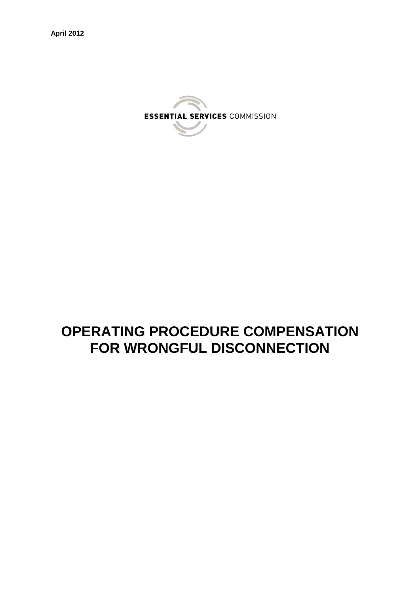

# **OPERATING PROCEDURE COMPENSATION FOR WRONGFUL DISCONNECTION**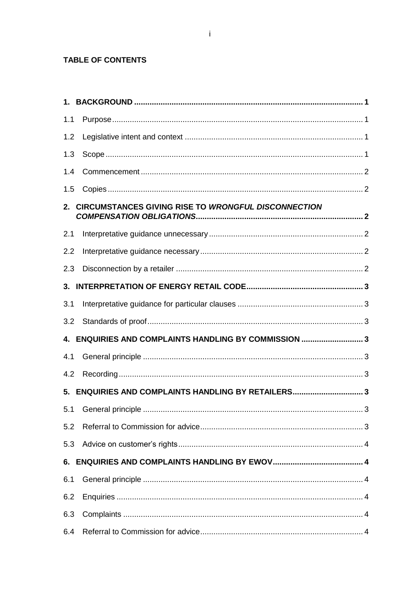## TABLE OF CONTENTS

| 1.1 |                                                        |  |
|-----|--------------------------------------------------------|--|
| 1.2 |                                                        |  |
| 1.3 |                                                        |  |
| 1.4 |                                                        |  |
| 1.5 |                                                        |  |
|     | 2. CIRCUMSTANCES GIVING RISE TO WRONGFUL DISCONNECTION |  |
| 2.1 |                                                        |  |
| 2.2 |                                                        |  |
| 2.3 |                                                        |  |
|     |                                                        |  |
| 3.1 |                                                        |  |
| 3.2 |                                                        |  |
|     | 4. ENQUIRIES AND COMPLAINTS HANDLING BY COMMISSION 3   |  |
| 4.1 |                                                        |  |
| 4.2 |                                                        |  |
|     | 5. ENQUIRIES AND COMPLAINTS HANDLING BY RETAILERS 3    |  |
| 5.1 |                                                        |  |
| 5.2 |                                                        |  |
| 5.3 |                                                        |  |
|     |                                                        |  |
| 6.1 |                                                        |  |
| 6.2 |                                                        |  |
| 6.3 |                                                        |  |
| 6.4 |                                                        |  |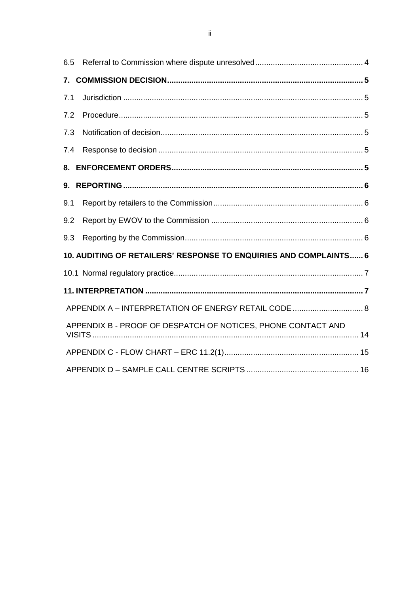| 6.5 |                                                                   |  |
|-----|-------------------------------------------------------------------|--|
|     |                                                                   |  |
| 7.1 |                                                                   |  |
| 7.2 |                                                                   |  |
| 7.3 |                                                                   |  |
| 7.4 |                                                                   |  |
| 8.  |                                                                   |  |
| 9.  |                                                                   |  |
| 9.1 |                                                                   |  |
| 9.2 |                                                                   |  |
| 9.3 |                                                                   |  |
|     | 10. AUDITING OF RETAILERS' RESPONSE TO ENQUIRIES AND COMPLAINTS 6 |  |
|     |                                                                   |  |
|     |                                                                   |  |
|     | APPENDIX A - INTERPRETATION OF ENERGY RETAIL CODE  8              |  |
|     | APPENDIX B - PROOF OF DESPATCH OF NOTICES, PHONE CONTACT AND      |  |
|     |                                                                   |  |
|     |                                                                   |  |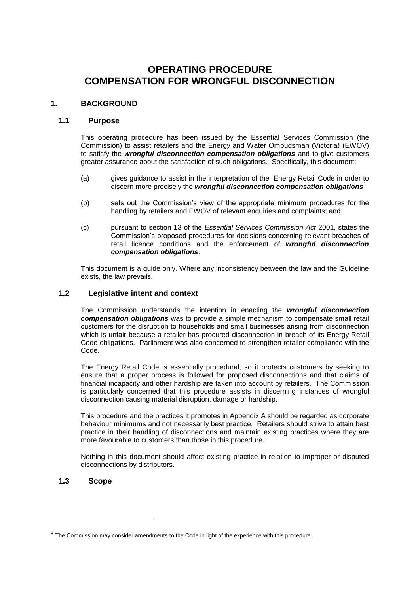# **OPERATING PROCEDURE COMPENSATION FOR WRONGFUL DISCONNECTION**

## <span id="page-3-0"></span>**1. BACKGROUND**

#### <span id="page-3-1"></span>**1.1 Purpose**

This operating procedure has been issued by the Essential Services Commission (the Commission) to assist retailers and the Energy and Water Ombudsman (Victoria) (EWOV) to satisfy the *wrongful disconnection compensation obligations* and to give customers greater assurance about the satisfaction of such obligations. Specifically, this document:

- (a) gives guidance to assist in the interpretation of the Energy Retail Code in order to discern more precisely the *wrongful disconnection compensation obligations*<sup>1</sup>;
- (b) sets out the Commission's view of the appropriate minimum procedures for the handling by retailers and EWOV of relevant enquiries and complaints; and
- (c) pursuant to section 13 of the *Essential Services Commission Act* 2001, states the Commission's proposed procedures for decisions concerning relevant breaches of retail licence conditions and the enforcement of *wrongful disconnection compensation obligations*.

This document is a guide only. Where any inconsistency between the law and the Guideline exists, the law prevails.

#### <span id="page-3-2"></span>**1.2 Legislative intent and context**

The Commission understands the intention in enacting the *wrongful disconnection compensation obligations* was to provide a simple mechanism to compensate small retail customers for the disruption to households and small businesses arising from disconnection which is unfair because a retailer has procured disconnection in breach of its Energy Retail Code obligations. Parliament was also concerned to strengthen retailer compliance with the Code.

The Energy Retail Code is essentially procedural, so it protects customers by seeking to ensure that a proper process is followed for proposed disconnections and that claims of financial incapacity and other hardship are taken into account by retailers. The Commission is particularly concerned that this procedure assists in discerning instances of wrongful disconnection causing material disruption, damage or hardship.

This procedure and the practices it promotes in Appendix A should be regarded as corporate behaviour minimums and not necessarily best practice. Retailers should strive to attain best practice in their handling of disconnections and maintain existing practices where they are more favourable to customers than those in this procedure.

Nothing in this document should affect existing practice in relation to improper or disputed disconnections by distributors.

## <span id="page-3-3"></span>**1.3 Scope**

-

 $1$  The Commission may consider amendments to the Code in light of the experience with this procedure.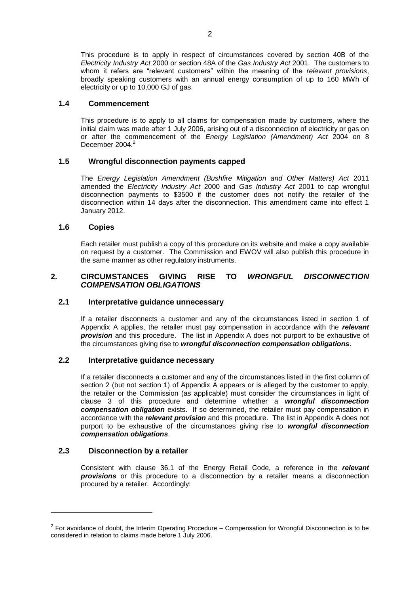This procedure is to apply in respect of circumstances covered by section 40B of the *Electricity Industry Act* 2000 or section 48A of the *Gas Industry Act* 2001. The customers to whom it refers are "relevant customers" within the meaning of the *relevant provisions*, broadly speaking customers with an annual energy consumption of up to 160 MWh of electricity or up to 10,000 GJ of gas.

#### <span id="page-4-0"></span>**1.4 Commencement**

This procedure is to apply to all claims for compensation made by customers, where the initial claim was made after 1 July 2006, arising out of a disconnection of electricity or gas on or after the commencement of the *Energy Legislation (Amendment) Act* 2004 on 8 December  $2004<sup>2</sup>$ 

## **1.5 Wrongful disconnection payments capped**

The *Energy Legislation Amendment (Bushfire Mitigation and Other Matters) Act* 2011 amended the *Electricity Industry Act* 2000 and *Gas Industry Act* 2001 to cap wrongful disconnection payments to \$3500 if the customer does not notify the retailer of the disconnection within 14 days after the disconnection. This amendment came into effect 1 January 2012.

## <span id="page-4-1"></span>**1.6 Copies**

Each retailer must publish a copy of this procedure on its website and make a copy available on request by a customer. The Commission and EWOV will also publish this procedure in the same manner as other regulatory instruments.

## <span id="page-4-2"></span>**2. CIRCUMSTANCES GIVING RISE TO** *WRONGFUL DISCONNECTION COMPENSATION OBLIGATIONS*

## <span id="page-4-3"></span>**2.1 Interpretative guidance unnecessary**

If a retailer disconnects a customer and any of the circumstances listed in section 1 of Appendix A applies, the retailer must pay compensation in accordance with the *relevant provision* and this procedure. The list in Appendix A does not purport to be exhaustive of the circumstances giving rise to *wrongful disconnection compensation obligations*.

#### <span id="page-4-4"></span>**2.2 Interpretative guidance necessary**

If a retailer disconnects a customer and any of the circumstances listed in the first column of section 2 (but not section 1) of Appendix A appears or is alleged by the customer to apply, the retailer or the Commission (as applicable) must consider the circumstances in light of clause 3 of this procedure and determine whether a *wrongful disconnection compensation obligation* exists. If so determined, the retailer must pay compensation in accordance with the *relevant provision* and this procedure. The list in Appendix A does not purport to be exhaustive of the circumstances giving rise to *wrongful disconnection compensation obligations*.

## <span id="page-4-5"></span>**2.3 Disconnection by a retailer**

-

Consistent with clause 36.1 of the Energy Retail Code, a reference in the *relevant provisions* or this procedure to a disconnection by a retailer means a disconnection procured by a retailer. Accordingly:

 $2$  For avoidance of doubt, the Interim Operating Procedure – Compensation for Wrongful Disconnection is to be considered in relation to claims made before 1 July 2006.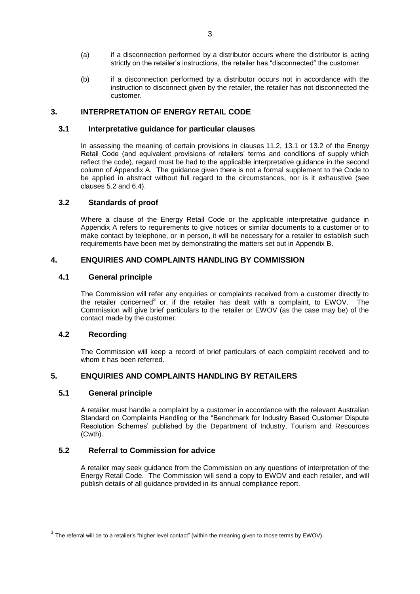- (a) if a disconnection performed by a distributor occurs where the distributor is acting strictly on the retailer's instructions, the retailer has "disconnected" the customer.
- (b) if a disconnection performed by a distributor occurs not in accordance with the instruction to disconnect given by the retailer, the retailer has not disconnected the customer.

## <span id="page-5-0"></span>**3. INTERPRETATION OF ENERGY RETAIL CODE**

## <span id="page-5-1"></span>**3.1 Interpretative guidance for particular clauses**

In assessing the meaning of certain provisions in clauses 11.2, 13.1 or 13.2 of the Energy Retail Code (and equivalent provisions of retailers' terms and conditions of supply which reflect the code), regard must be had to the applicable interpretative guidance in the second column of Appendix A. The guidance given there is not a formal supplement to the Code to be applied in abstract without full regard to the circumstances, nor is it exhaustive (see clauses 5.2 and 6.4).

## <span id="page-5-2"></span>**3.2 Standards of proof**

Where a clause of the Energy Retail Code or the applicable interpretative guidance in Appendix A refers to requirements to give notices or similar documents to a customer or to make contact by telephone, or in person, it will be necessary for a retailer to establish such requirements have been met by demonstrating the matters set out in Appendix B.

## <span id="page-5-3"></span>**4. ENQUIRIES AND COMPLAINTS HANDLING BY COMMISSION**

## <span id="page-5-4"></span>**4.1 General principle**

The Commission will refer any enquiries or complaints received from a customer directly to the retailer concerned<sup>3</sup> or, if the retailer has dealt with a complaint, to EWOV. The Commission will give brief particulars to the retailer or EWOV (as the case may be) of the contact made by the customer.

## <span id="page-5-5"></span>**4.2 Recording**

-

The Commission will keep a record of brief particulars of each complaint received and to whom it has been referred.

## <span id="page-5-6"></span>**5. ENQUIRIES AND COMPLAINTS HANDLING BY RETAILERS**

## <span id="page-5-7"></span>**5.1 General principle**

A retailer must handle a complaint by a customer in accordance with the relevant Australian Standard on Complaints Handling or the "Benchmark for Industry Based Customer Dispute Resolution Schemes' published by the Department of Industry, Tourism and Resources (Cwth).

## <span id="page-5-8"></span>**5.2 Referral to Commission for advice**

A retailer may seek guidance from the Commission on any questions of interpretation of the Energy Retail Code. The Commission will send a copy to EWOV and each retailer, and will publish details of all guidance provided in its annual compliance report.

 $3$  The referral will be to a retailer's "higher level contact" (within the meaning given to those terms by EWOV).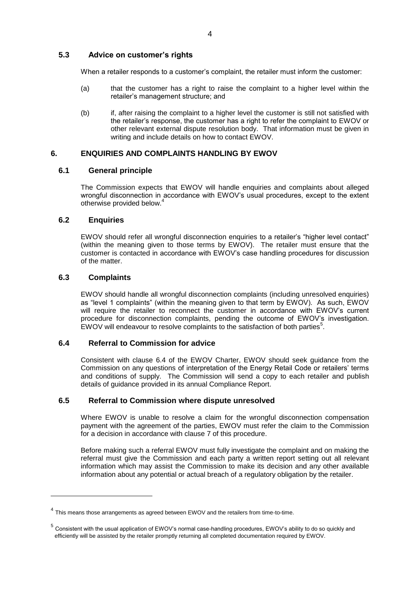## <span id="page-6-0"></span>**5.3 Advice on customer's rights**

When a retailer responds to a customer's complaint, the retailer must inform the customer:

- (a) that the customer has a right to raise the complaint to a higher level within the retailer's management structure; and
- (b) if, after raising the complaint to a higher level the customer is still not satisfied with the retailer's response, the customer has a right to refer the complaint to EWOV or other relevant external dispute resolution body. That information must be given in writing and include details on how to contact EWOV.

## <span id="page-6-1"></span>**6. ENQUIRIES AND COMPLAINTS HANDLING BY EWOV**

## <span id="page-6-2"></span>**6.1 General principle**

The Commission expects that EWOV will handle enquiries and complaints about alleged wrongful disconnection in accordance with EWOV's usual procedures, except to the extent otherwise provided below.<sup>4</sup>

## <span id="page-6-3"></span>**6.2 Enquiries**

EWOV should refer all wrongful disconnection enquiries to a retailer's "higher level contact" (within the meaning given to those terms by EWOV). The retailer must ensure that the customer is contacted in accordance with EWOV's case handling procedures for discussion of the matter.

## <span id="page-6-4"></span>**6.3 Complaints**

-

EWOV should handle all wrongful disconnection complaints (including unresolved enquiries) as "level 1 complaints" (within the meaning given to that term by EWOV). As such, EWOV will require the retailer to reconnect the customer in accordance with EWOV's current procedure for disconnection complaints, pending the outcome of EWOV's investigation. EWOV will endeavour to resolve complaints to the satisfaction of both parties $5$ .

## <span id="page-6-5"></span>**6.4 Referral to Commission for advice**

Consistent with clause 6.4 of the EWOV Charter, EWOV should seek guidance from the Commission on any questions of interpretation of the Energy Retail Code or retailers' terms and conditions of supply. The Commission will send a copy to each retailer and publish details of guidance provided in its annual Compliance Report.

## <span id="page-6-6"></span>**6.5 Referral to Commission where dispute unresolved**

Where EWOV is unable to resolve a claim for the wrongful disconnection compensation payment with the agreement of the parties, EWOV must refer the claim to the Commission for a decision in accordance with clause 7 of this procedure.

Before making such a referral EWOV must fully investigate the complaint and on making the referral must give the Commission and each party a written report setting out all relevant information which may assist the Commission to make its decision and any other available information about any potential or actual breach of a regulatory obligation by the retailer.

 $<sup>4</sup>$  This means those arrangements as agreed between EWOV and the retailers from time-to-time.</sup>

<sup>&</sup>lt;sup>5</sup> Consistent with the usual application of EWOV's normal case-handling procedures, EWOV's ability to do so quickly and efficiently will be assisted by the retailer promptly returning all completed documentation required by EWOV.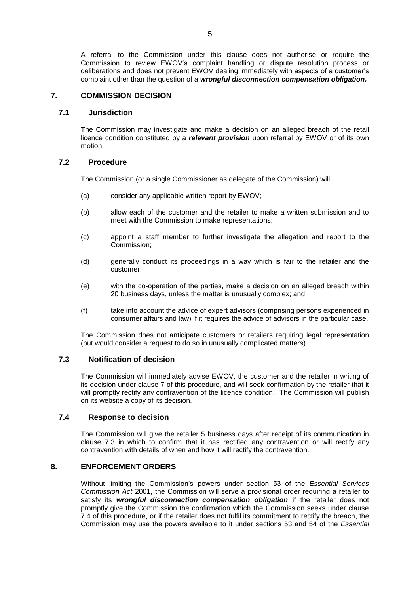A referral to the Commission under this clause does not authorise or require the Commission to review EWOV's complaint handling or dispute resolution process or deliberations and does not prevent EWOV dealing immediately with aspects of a customer's complaint other than the question of a *wrongful disconnection compensation obligation.*

## <span id="page-7-0"></span>**7. COMMISSION DECISION**

## <span id="page-7-1"></span>**7.1 Jurisdiction**

The Commission may investigate and make a decision on an alleged breach of the retail licence condition constituted by a *relevant provision* upon referral by EWOV or of its own motion.

## <span id="page-7-2"></span>**7.2 Procedure**

The Commission (or a single Commissioner as delegate of the Commission) will:

- (a) consider any applicable written report by EWOV;
- (b) allow each of the customer and the retailer to make a written submission and to meet with the Commission to make representations;
- (c) appoint a staff member to further investigate the allegation and report to the Commission;
- (d) generally conduct its proceedings in a way which is fair to the retailer and the customer;
- (e) with the co-operation of the parties, make a decision on an alleged breach within 20 business days, unless the matter is unusually complex; and
- (f) take into account the advice of expert advisors (comprising persons experienced in consumer affairs and law) if it requires the advice of advisors in the particular case.

The Commission does not anticipate customers or retailers requiring legal representation (but would consider a request to do so in unusually complicated matters).

## <span id="page-7-3"></span>**7.3 Notification of decision**

The Commission will immediately advise EWOV, the customer and the retailer in writing of its decision under clause 7 of this procedure, and will seek confirmation by the retailer that it will promptly rectify any contravention of the licence condition. The Commission will publish on its website a copy of its decision.

## <span id="page-7-4"></span>**7.4 Response to decision**

The Commission will give the retailer 5 business days after receipt of its communication in clause 7.3 in which to confirm that it has rectified any contravention or will rectify any contravention with details of when and how it will rectify the contravention.

## <span id="page-7-5"></span>**8. ENFORCEMENT ORDERS**

Without limiting the Commission's powers under section 53 of the *Essential Services Commission Act* 2001, the Commission will serve a provisional order requiring a retailer to satisfy its *wrongful disconnection compensation obligation* if the retailer does not promptly give the Commission the confirmation which the Commission seeks under clause 7.4 of this procedure, or if the retailer does not fulfil its commitment to rectify the breach, the Commission may use the powers available to it under sections 53 and 54 of the *Essential*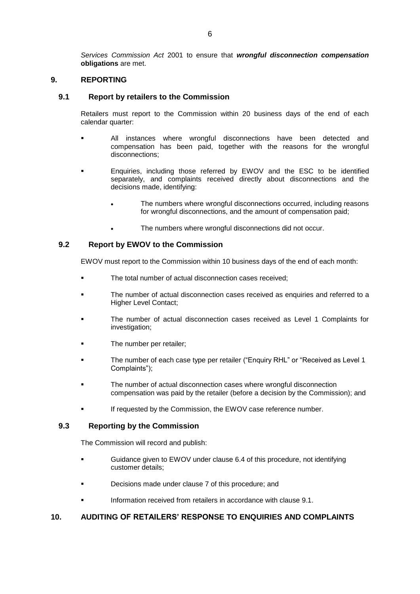*Services Commission Act* 2001 to ensure that *wrongful disconnection compensation* **obligations** are met.

## <span id="page-8-0"></span>**9. REPORTING**

## <span id="page-8-1"></span>**9.1 Report by retailers to the Commission**

Retailers must report to the Commission within 20 business days of the end of each calendar quarter:

- All instances where wrongful disconnections have been detected and compensation has been paid, together with the reasons for the wrongful disconnections;
- Enquiries, including those referred by EWOV and the ESC to be identified separately, and complaints received directly about disconnections and the decisions made, identifying:
	- The numbers where wrongful disconnections occurred, including reasons for wrongful disconnections, and the amount of compensation paid;
	- The numbers where wrongful disconnections did not occur.

## <span id="page-8-2"></span>**9.2 Report by EWOV to the Commission**

EWOV must report to the Commission within 10 business days of the end of each month:

- The total number of actual disconnection cases received;
- The number of actual disconnection cases received as enquiries and referred to a Higher Level Contact;
- The number of actual disconnection cases received as Level 1 Complaints for investigation;
- The number per retailer;
- The number of each case type per retailer ("Enquiry RHL" or "Received as Level 1 Complaints");
- The number of actual disconnection cases where wrongful disconnection compensation was paid by the retailer (before a decision by the Commission); and
- If requested by the Commission, the EWOV case reference number.

## <span id="page-8-3"></span>**9.3 Reporting by the Commission**

The Commission will record and publish:

- Guidance given to EWOV under clause 6.4 of this procedure, not identifying customer details;
- Decisions made under clause 7 of this procedure; and
- Information received from retailers in accordance with clause 9.1.

## <span id="page-8-4"></span>**10. AUDITING OF RETAILERS' RESPONSE TO ENQUIRIES AND COMPLAINTS**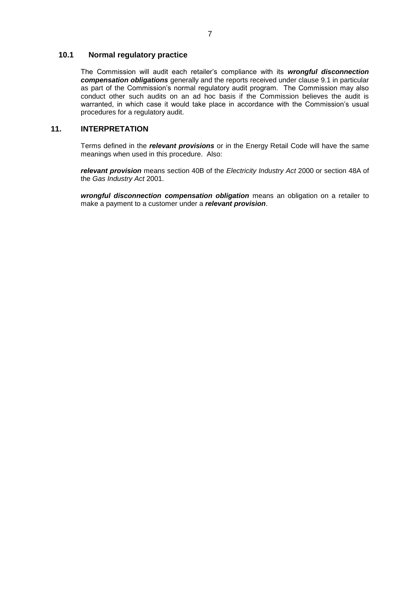## <span id="page-9-0"></span>**10.1 Normal regulatory practice**

The Commission will audit each retailer's compliance with its *wrongful disconnection compensation obligations* generally and the reports received under clause 9.1 in particular as part of the Commission's normal regulatory audit program. The Commission may also conduct other such audits on an ad hoc basis if the Commission believes the audit is warranted, in which case it would take place in accordance with the Commission's usual procedures for a regulatory audit.

## <span id="page-9-1"></span>**11. INTERPRETATION**

Terms defined in the *relevant provisions* or in the Energy Retail Code will have the same meanings when used in this procedure. Also:

*relevant provision* means section 40B of the *Electricity Industry Act* 2000 or section 48A of the *Gas Industry Act* 2001.

*wrongful disconnection compensation obligation* means an obligation on a retailer to make a payment to a customer under a *relevant provision*.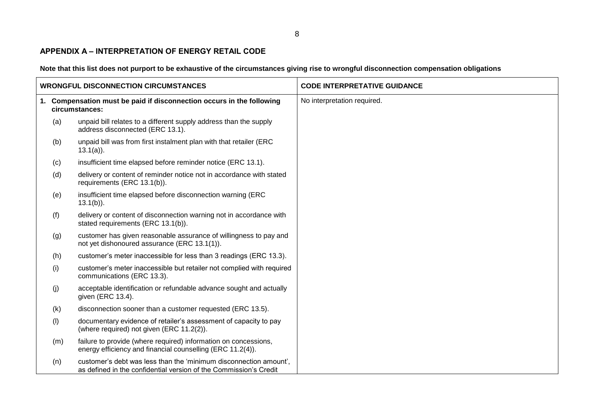## **APPENDIX A – INTERPRETATION OF ENERGY RETAIL CODE**

**Note that this list does not purport to be exhaustive of the circumstances giving rise to wrongful disconnection compensation obligations**

<span id="page-10-0"></span>

|     | <b>WRONGFUL DISCONNECTION CIRCUMSTANCES</b>                                                                                            | <b>CODE INTERPRETATIVE GUIDANCE</b> |
|-----|----------------------------------------------------------------------------------------------------------------------------------------|-------------------------------------|
|     | 1. Compensation must be paid if disconnection occurs in the following<br>circumstances:                                                | No interpretation required.         |
| (a) | unpaid bill relates to a different supply address than the supply<br>address disconnected (ERC 13.1).                                  |                                     |
| (b) | unpaid bill was from first instalment plan with that retailer (ERC<br>$13.1(a)$ ).                                                     |                                     |
| (c) | insufficient time elapsed before reminder notice (ERC 13.1).                                                                           |                                     |
| (d) | delivery or content of reminder notice not in accordance with stated<br>requirements (ERC 13.1(b)).                                    |                                     |
| (e) | insufficient time elapsed before disconnection warning (ERC<br>$13.1(b)$ ).                                                            |                                     |
| (f) | delivery or content of disconnection warning not in accordance with<br>stated requirements (ERC 13.1(b)).                              |                                     |
| (g) | customer has given reasonable assurance of willingness to pay and<br>not yet dishonoured assurance (ERC 13.1(1)).                      |                                     |
| (h) | customer's meter inaccessible for less than 3 readings (ERC 13.3).                                                                     |                                     |
| (i) | customer's meter inaccessible but retailer not complied with required<br>communications (ERC 13.3).                                    |                                     |
| (j) | acceptable identification or refundable advance sought and actually<br>given (ERC 13.4).                                               |                                     |
| (k) | disconnection sooner than a customer requested (ERC 13.5).                                                                             |                                     |
| (1) | documentary evidence of retailer's assessment of capacity to pay<br>(where required) not given (ERC 11.2(2)).                          |                                     |
| (m) | failure to provide (where required) information on concessions,<br>energy efficiency and financial counselling (ERC 11.2(4)).          |                                     |
| (n) | customer's debt was less than the 'minimum disconnection amount',<br>as defined in the confidential version of the Commission's Credit |                                     |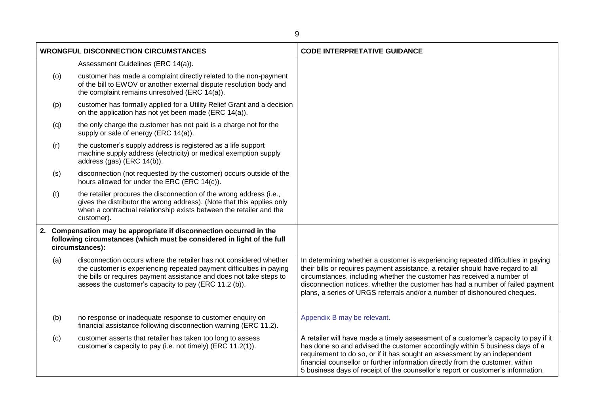|     | <b>WRONGFUL DISCONNECTION CIRCUMSTANCES</b>                                                                                                                                                                                                                                | <b>CODE INTERPRETATIVE GUIDANCE</b>                                                                                                                                                                                                                                                                                                                                                                                    |
|-----|----------------------------------------------------------------------------------------------------------------------------------------------------------------------------------------------------------------------------------------------------------------------------|------------------------------------------------------------------------------------------------------------------------------------------------------------------------------------------------------------------------------------------------------------------------------------------------------------------------------------------------------------------------------------------------------------------------|
|     | Assessment Guidelines (ERC 14(a)).                                                                                                                                                                                                                                         |                                                                                                                                                                                                                                                                                                                                                                                                                        |
| (o) | customer has made a complaint directly related to the non-payment<br>of the bill to EWOV or another external dispute resolution body and<br>the complaint remains unresolved (ERC 14(a)).                                                                                  |                                                                                                                                                                                                                                                                                                                                                                                                                        |
| (p) | customer has formally applied for a Utility Relief Grant and a decision<br>on the application has not yet been made (ERC 14(a)).                                                                                                                                           |                                                                                                                                                                                                                                                                                                                                                                                                                        |
| (q) | the only charge the customer has not paid is a charge not for the<br>supply or sale of energy (ERC 14(a)).                                                                                                                                                                 |                                                                                                                                                                                                                                                                                                                                                                                                                        |
| (r) | the customer's supply address is registered as a life support<br>machine supply address (electricity) or medical exemption supply<br>address (gas) (ERC 14(b)).                                                                                                            |                                                                                                                                                                                                                                                                                                                                                                                                                        |
| (s) | disconnection (not requested by the customer) occurs outside of the<br>hours allowed for under the ERC (ERC 14(c)).                                                                                                                                                        |                                                                                                                                                                                                                                                                                                                                                                                                                        |
| (t) | the retailer procures the disconnection of the wrong address (i.e.,<br>gives the distributor the wrong address). (Note that this applies only<br>when a contractual relationship exists between the retailer and the<br>customer).                                         |                                                                                                                                                                                                                                                                                                                                                                                                                        |
|     | 2. Compensation may be appropriate if disconnection occurred in the<br>following circumstances (which must be considered in light of the full<br>circumstances):                                                                                                           |                                                                                                                                                                                                                                                                                                                                                                                                                        |
| (a) | disconnection occurs where the retailer has not considered whether<br>the customer is experiencing repeated payment difficulties in paying<br>the bills or requires payment assistance and does not take steps to<br>assess the customer's capacity to pay (ERC 11.2 (b)). | In determining whether a customer is experiencing repeated difficulties in paying<br>their bills or requires payment assistance, a retailer should have regard to all<br>circumstances, including whether the customer has received a number of<br>disconnection notices, whether the customer has had a number of failed payment<br>plans, a series of URGS referrals and/or a number of dishonoured cheques.         |
| (b) | no response or inadequate response to customer enquiry on<br>financial assistance following disconnection warning (ERC 11.2).                                                                                                                                              | Appendix B may be relevant.                                                                                                                                                                                                                                                                                                                                                                                            |
| (c) | customer asserts that retailer has taken too long to assess<br>customer's capacity to pay (i.e. not timely) (ERC 11.2(1)).                                                                                                                                                 | A retailer will have made a timely assessment of a customer's capacity to pay if it<br>has done so and advised the customer accordingly within 5 business days of a<br>requirement to do so, or if it has sought an assessment by an independent<br>financial counsellor or further information directly from the customer, within<br>5 business days of receipt of the counsellor's report or customer's information. |

9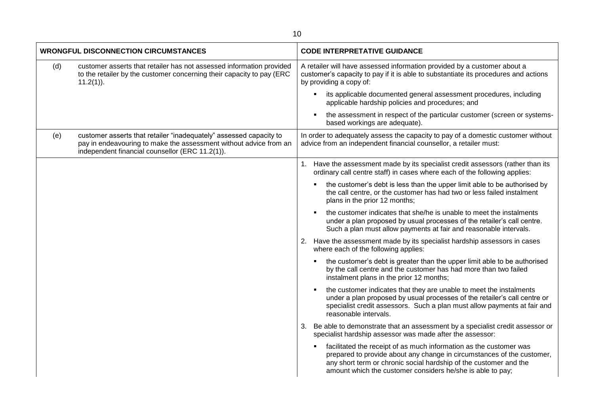|     | <b>WRONGFUL DISCONNECTION CIRCUMSTANCES</b>                                                                                                                                                |    | <b>CODE INTERPRETATIVE GUIDANCE</b>                                                                                                                                                                                                                                             |
|-----|--------------------------------------------------------------------------------------------------------------------------------------------------------------------------------------------|----|---------------------------------------------------------------------------------------------------------------------------------------------------------------------------------------------------------------------------------------------------------------------------------|
| (d) | customer asserts that retailer has not assessed information provided<br>to the retailer by the customer concerning their capacity to pay (ERC<br>$11.2(1)$ ).                              |    | A retailer will have assessed information provided by a customer about a<br>customer's capacity to pay if it is able to substantiate its procedures and actions<br>by providing a copy of:                                                                                      |
|     |                                                                                                                                                                                            |    | its applicable documented general assessment procedures, including<br>applicable hardship policies and procedures; and                                                                                                                                                          |
|     |                                                                                                                                                                                            |    | the assessment in respect of the particular customer (screen or systems-<br>based workings are adequate).                                                                                                                                                                       |
| (e) | customer asserts that retailer "inadequately" assessed capacity to<br>pay in endeavouring to make the assessment without advice from an<br>independent financial counsellor (ERC 11.2(1)). |    | In order to adequately assess the capacity to pay of a domestic customer without<br>advice from an independent financial counsellor, a retailer must:                                                                                                                           |
|     |                                                                                                                                                                                            |    | 1. Have the assessment made by its specialist credit assessors (rather than its<br>ordinary call centre staff) in cases where each of the following applies:                                                                                                                    |
|     |                                                                                                                                                                                            |    | the customer's debt is less than the upper limit able to be authorised by<br>the call centre, or the customer has had two or less failed instalment<br>plans in the prior 12 months;                                                                                            |
|     |                                                                                                                                                                                            |    | the customer indicates that she/he is unable to meet the instalments<br>under a plan proposed by usual processes of the retailer's call centre.<br>Such a plan must allow payments at fair and reasonable intervals.                                                            |
|     |                                                                                                                                                                                            |    | 2. Have the assessment made by its specialist hardship assessors in cases<br>where each of the following applies:                                                                                                                                                               |
|     |                                                                                                                                                                                            |    | the customer's debt is greater than the upper limit able to be authorised<br>by the call centre and the customer has had more than two failed<br>instalment plans in the prior 12 months;                                                                                       |
|     |                                                                                                                                                                                            |    | the customer indicates that they are unable to meet the instalments<br>under a plan proposed by usual processes of the retailer's call centre or<br>specialist credit assessors. Such a plan must allow payments at fair and<br>reasonable intervals.                           |
|     |                                                                                                                                                                                            | 3. | Be able to demonstrate that an assessment by a specialist credit assessor or<br>specialist hardship assessor was made after the assessor:                                                                                                                                       |
|     |                                                                                                                                                                                            |    | facilitated the receipt of as much information as the customer was<br>prepared to provide about any change in circumstances of the customer,<br>any short term or chronic social hardship of the customer and the<br>amount which the customer considers he/she is able to pay; |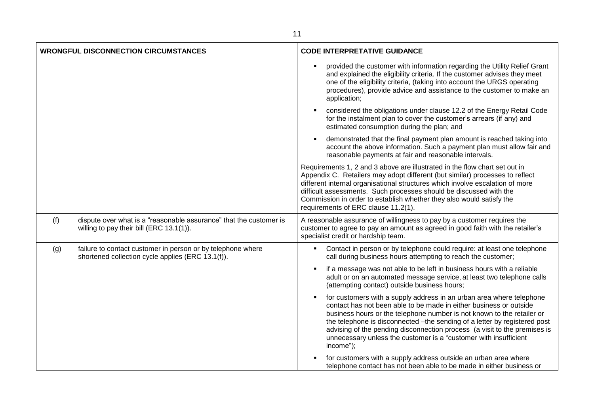|     | <b>WRONGFUL DISCONNECTION CIRCUMSTANCES</b>                                                                      | <b>CODE INTERPRETATIVE GUIDANCE</b>                                                                                                                                                                                                                                                                                                                                                                                                                             |
|-----|------------------------------------------------------------------------------------------------------------------|-----------------------------------------------------------------------------------------------------------------------------------------------------------------------------------------------------------------------------------------------------------------------------------------------------------------------------------------------------------------------------------------------------------------------------------------------------------------|
|     |                                                                                                                  | provided the customer with information regarding the Utility Relief Grant<br>and explained the eligibility criteria. If the customer advises they meet<br>one of the eligibility criteria, (taking into account the URGS operating<br>procedures), provide advice and assistance to the customer to make an<br>application;                                                                                                                                     |
|     |                                                                                                                  | considered the obligations under clause 12.2 of the Energy Retail Code<br>for the instalment plan to cover the customer's arrears (if any) and<br>estimated consumption during the plan; and                                                                                                                                                                                                                                                                    |
|     |                                                                                                                  | demonstrated that the final payment plan amount is reached taking into<br>account the above information. Such a payment plan must allow fair and<br>reasonable payments at fair and reasonable intervals.                                                                                                                                                                                                                                                       |
|     |                                                                                                                  | Requirements 1, 2 and 3 above are illustrated in the flow chart set out in<br>Appendix C. Retailers may adopt different (but similar) processes to reflect<br>different internal organisational structures which involve escalation of more<br>difficult assessments. Such processes should be discussed with the<br>Commission in order to establish whether they also would satisfy the<br>requirements of ERC clause 11.2(1).                                |
| (f) | dispute over what is a "reasonable assurance" that the customer is<br>willing to pay their bill (ERC 13.1(1)).   | A reasonable assurance of willingness to pay by a customer requires the<br>customer to agree to pay an amount as agreed in good faith with the retailer's<br>specialist credit or hardship team.                                                                                                                                                                                                                                                                |
| (g) | failure to contact customer in person or by telephone where<br>shortened collection cycle applies (ERC 13.1(f)). | Contact in person or by telephone could require: at least one telephone<br>call during business hours attempting to reach the customer;                                                                                                                                                                                                                                                                                                                         |
|     |                                                                                                                  | if a message was not able to be left in business hours with a reliable<br>adult or on an automated message service, at least two telephone calls<br>(attempting contact) outside business hours;                                                                                                                                                                                                                                                                |
|     |                                                                                                                  | for customers with a supply address in an urban area where telephone<br>contact has not been able to be made in either business or outside<br>business hours or the telephone number is not known to the retailer or<br>the telephone is disconnected -the sending of a letter by registered post<br>advising of the pending disconnection process (a visit to the premises is<br>unnecessary unless the customer is a "customer with insufficient<br>income"); |
|     |                                                                                                                  | for customers with a supply address outside an urban area where<br>telephone contact has not been able to be made in either business or                                                                                                                                                                                                                                                                                                                         |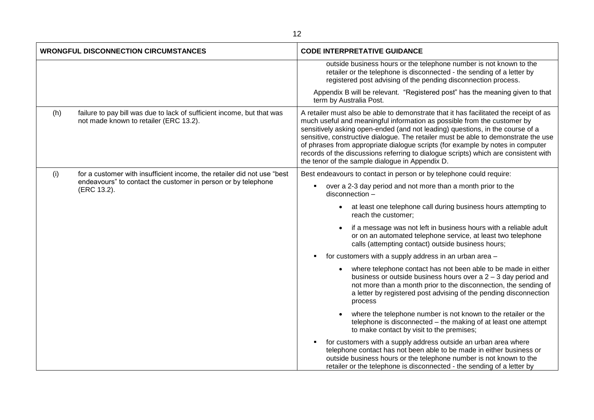| <b>WRONGFUL DISCONNECTION CIRCUMSTANCES</b> |                                                                                                                  | <b>CODE INTERPRETATIVE GUIDANCE</b>                                                                                                                                                                                                                                                                                                                                                                                                                                                                                                                                 |
|---------------------------------------------|------------------------------------------------------------------------------------------------------------------|---------------------------------------------------------------------------------------------------------------------------------------------------------------------------------------------------------------------------------------------------------------------------------------------------------------------------------------------------------------------------------------------------------------------------------------------------------------------------------------------------------------------------------------------------------------------|
|                                             |                                                                                                                  | outside business hours or the telephone number is not known to the<br>retailer or the telephone is disconnected - the sending of a letter by<br>registered post advising of the pending disconnection process.                                                                                                                                                                                                                                                                                                                                                      |
|                                             |                                                                                                                  | Appendix B will be relevant. "Registered post" has the meaning given to that<br>term by Australia Post.                                                                                                                                                                                                                                                                                                                                                                                                                                                             |
| (h)                                         | failure to pay bill was due to lack of sufficient income, but that was<br>not made known to retailer (ERC 13.2). | A retailer must also be able to demonstrate that it has facilitated the receipt of as<br>much useful and meaningful information as possible from the customer by<br>sensitively asking open-ended (and not leading) questions, in the course of a<br>sensitive, constructive dialogue. The retailer must be able to demonstrate the use<br>of phrases from appropriate dialogue scripts (for example by notes in computer<br>records of the discussions referring to dialogue scripts) which are consistent with<br>the tenor of the sample dialogue in Appendix D. |
| (i)                                         | for a customer with insufficient income, the retailer did not use "best                                          | Best endeavours to contact in person or by telephone could require:                                                                                                                                                                                                                                                                                                                                                                                                                                                                                                 |
|                                             | endeavours" to contact the customer in person or by telephone<br>(ERC 13.2).                                     | over a 2-3 day period and not more than a month prior to the<br>disconnection -                                                                                                                                                                                                                                                                                                                                                                                                                                                                                     |
|                                             |                                                                                                                  | at least one telephone call during business hours attempting to<br>$\bullet$<br>reach the customer;                                                                                                                                                                                                                                                                                                                                                                                                                                                                 |
|                                             |                                                                                                                  | if a message was not left in business hours with a reliable adult<br>$\bullet$<br>or on an automated telephone service, at least two telephone<br>calls (attempting contact) outside business hours;                                                                                                                                                                                                                                                                                                                                                                |
|                                             |                                                                                                                  | for customers with a supply address in an urban area -                                                                                                                                                                                                                                                                                                                                                                                                                                                                                                              |
|                                             |                                                                                                                  | where telephone contact has not been able to be made in either<br>business or outside business hours over $a 2 - 3$ day period and<br>not more than a month prior to the disconnection, the sending of<br>a letter by registered post advising of the pending disconnection<br>process                                                                                                                                                                                                                                                                              |
|                                             |                                                                                                                  | where the telephone number is not known to the retailer or the<br>$\bullet$<br>telephone is disconnected - the making of at least one attempt<br>to make contact by visit to the premises;                                                                                                                                                                                                                                                                                                                                                                          |
|                                             |                                                                                                                  | for customers with a supply address outside an urban area where<br>telephone contact has not been able to be made in either business or<br>outside business hours or the telephone number is not known to the<br>retailer or the telephone is disconnected - the sending of a letter by                                                                                                                                                                                                                                                                             |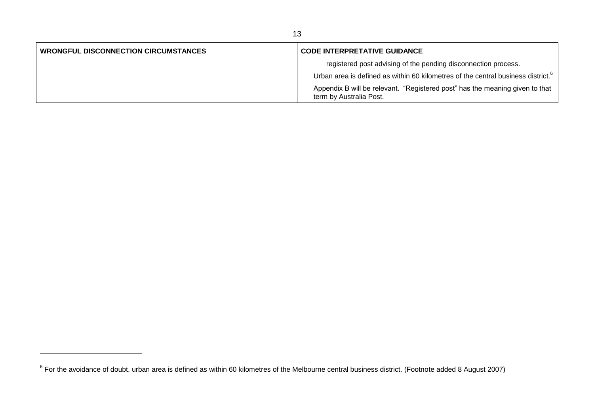| <b>WRONGFUL DISCONNECTION CIRCUMSTANCES</b> | <b>CODE INTERPRETATIVE GUIDANCE</b>                                                                     |
|---------------------------------------------|---------------------------------------------------------------------------------------------------------|
|                                             | registered post advising of the pending disconnection process.                                          |
|                                             | Urban area is defined as within 60 kilometres of the central business district. <sup>6</sup>            |
|                                             | Appendix B will be relevant. "Registered post" has the meaning given to that<br>term by Australia Post. |

 $^6$  For the avoidance of doubt, urban area is defined as within 60 kilometres of the Melbourne central business district. (Footnote added 8 August 2007)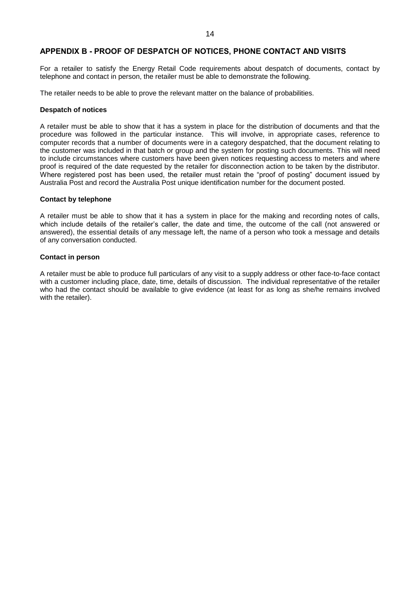## <span id="page-16-0"></span>**APPENDIX B - PROOF OF DESPATCH OF NOTICES, PHONE CONTACT AND VISITS**

For a retailer to satisfy the Energy Retail Code requirements about despatch of documents, contact by telephone and contact in person, the retailer must be able to demonstrate the following.

The retailer needs to be able to prove the relevant matter on the balance of probabilities.

#### **Despatch of notices**

A retailer must be able to show that it has a system in place for the distribution of documents and that the procedure was followed in the particular instance. This will involve, in appropriate cases, reference to computer records that a number of documents were in a category despatched, that the document relating to the customer was included in that batch or group and the system for posting such documents. This will need to include circumstances where customers have been given notices requesting access to meters and where proof is required of the date requested by the retailer for disconnection action to be taken by the distributor. Where registered post has been used, the retailer must retain the "proof of posting" document issued by Australia Post and record the Australia Post unique identification number for the document posted.

#### **Contact by telephone**

A retailer must be able to show that it has a system in place for the making and recording notes of calls, which include details of the retailer's caller, the date and time, the outcome of the call (not answered or answered), the essential details of any message left, the name of a person who took a message and details of any conversation conducted.

#### **Contact in person**

A retailer must be able to produce full particulars of any visit to a supply address or other face-to-face contact with a customer including place, date, time, details of discussion. The individual representative of the retailer who had the contact should be available to give evidence (at least for as long as she/he remains involved with the retailer).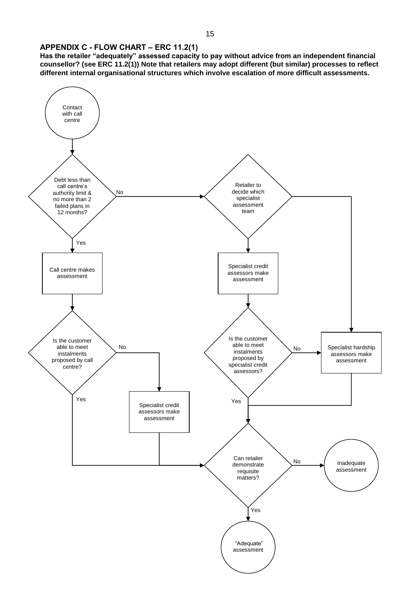## <span id="page-17-0"></span>**APPENDIX C - FLOW CHART – ERC 11.2(1)**

**Has the retailer "adequately" assessed capacity to pay without advice from an independent financial counsellor? (see ERC 11.2(1)) Note that retailers may adopt different (but similar) processes to reflect different internal organisational structures which involve escalation of more difficult assessments.**